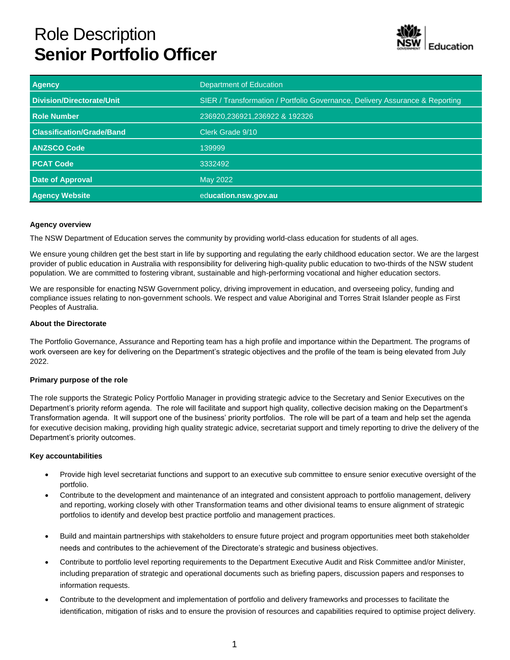# Role Description **Senior Portfolio Officer**



| <b>Agency</b>                    | Department of Education                                                      |
|----------------------------------|------------------------------------------------------------------------------|
| Division/Directorate/Unit        | SIER / Transformation / Portfolio Governance, Delivery Assurance & Reporting |
| <b>Role Number</b>               | 236920,236921,236922 & 192326                                                |
| <b>Classification/Grade/Band</b> | Clerk Grade 9/10                                                             |
| <b>ANZSCO Code</b>               | 139999                                                                       |
| <b>PCAT Code</b>                 | 3332492                                                                      |
| <b>Date of Approval</b>          | May 2022                                                                     |
| <b>Agency Website</b>            | education.nsw.gov.au                                                         |

## **Agency overview**

The NSW Department of Education serves the community by providing world-class education for students of all ages.

We ensure young children get the best start in life by supporting and regulating the early childhood education sector. We are the largest provider of public education in Australia with responsibility for delivering high-quality public education to two-thirds of the NSW student population. We are committed to fostering vibrant, sustainable and high-performing vocational and higher education sectors.

We are responsible for enacting NSW Government policy, driving improvement in education, and overseeing policy, funding and compliance issues relating to non-government schools. We respect and value Aboriginal and Torres Strait Islander people as First Peoples of Australia.

## **About the Directorate**

The Portfolio Governance, Assurance and Reporting team has a high profile and importance within the Department. The programs of work overseen are key for delivering on the Department's strategic objectives and the profile of the team is being elevated from July 2022.

## **Primary purpose of the role**

The role supports the Strategic Policy Portfolio Manager in providing strategic advice to the Secretary and Senior Executives on the Department's priority reform agenda. The role will facilitate and support high quality, collective decision making on the Department's Transformation agenda. It will support one of the business' priority portfolios. The role will be part of a team and help set the agenda for executive decision making, providing high quality strategic advice, secretariat support and timely reporting to drive the delivery of the Department's priority outcomes.

## **Key accountabilities**

- Provide high level secretariat functions and support to an executive sub committee to ensure senior executive oversight of the portfolio.
- Contribute to the development and maintenance of an integrated and consistent approach to portfolio management, delivery and reporting, working closely with other Transformation teams and other divisional teams to ensure alignment of strategic portfolios to identify and develop best practice portfolio and management practices.
- Build and maintain partnerships with stakeholders to ensure future project and program opportunities meet both stakeholder needs and contributes to the achievement of the Directorate's strategic and business objectives.
- Contribute to portfolio level reporting requirements to the Department Executive Audit and Risk Committee and/or Minister, including preparation of strategic and operational documents such as briefing papers, discussion papers and responses to information requests.
- Contribute to the development and implementation of portfolio and delivery frameworks and processes to facilitate the identification, mitigation of risks and to ensure the provision of resources and capabilities required to optimise project delivery.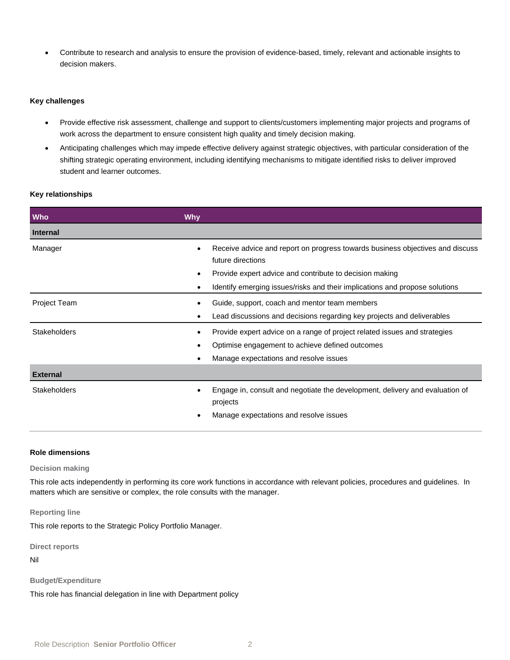• Contribute to research and analysis to ensure the provision of evidence-based, timely, relevant and actionable insights to decision makers.

## **Key challenges**

- Provide effective risk assessment, challenge and support to clients/customers implementing major projects and programs of work across the department to ensure consistent high quality and timely decision making.
- Anticipating challenges which may impede effective delivery against strategic objectives, with particular consideration of the shifting strategic operating environment, including identifying mechanisms to mitigate identified risks to deliver improved student and learner outcomes.

## **Key relationships**

| Who                 | <b>Why</b>                                                                                                                                                             |
|---------------------|------------------------------------------------------------------------------------------------------------------------------------------------------------------------|
| <b>Internal</b>     |                                                                                                                                                                        |
| Manager             | Receive advice and report on progress towards business objectives and discuss<br>future directions<br>Provide expert advice and contribute to decision making          |
|                     | Identify emerging issues/risks and their implications and propose solutions                                                                                            |
| <b>Project Team</b> | Guide, support, coach and mentor team members<br>Lead discussions and decisions regarding key projects and deliverables                                                |
| <b>Stakeholders</b> | Provide expert advice on a range of project related issues and strategies<br>Optimise engagement to achieve defined outcomes<br>Manage expectations and resolve issues |
| <b>External</b>     |                                                                                                                                                                        |
| <b>Stakeholders</b> | Engage in, consult and negotiate the development, delivery and evaluation of<br>projects<br>Manage expectations and resolve issues                                     |

## **Role dimensions**

#### **Decision making**

This role acts independently in performing its core work functions in accordance with relevant policies, procedures and guidelines. In matters which are sensitive or complex, the role consults with the manager.

#### **Reporting line**

This role reports to the Strategic Policy Portfolio Manager.

**Direct reports**

Nil

#### **Budget/Expenditure**

This role has financial delegation in line with Department policy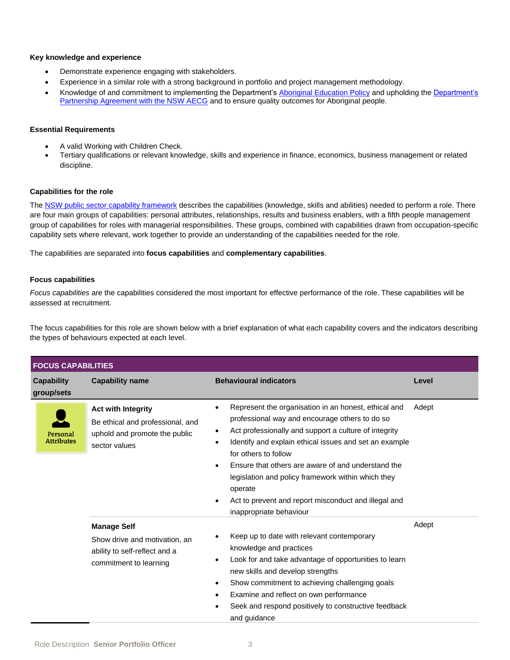## **Key knowledge and experience**

- Demonstrate experience engaging with stakeholders.
- Experience in a similar role with a strong background in portfolio and project management methodology.
- Knowledge of and commitment to implementing the Department's [Aboriginal Education Policy](https://policies.education.nsw.gov.au/policy-library/policies/aboriginal-education-and-training-policy?refid=285843) and upholding the [Department's](https://education.nsw.gov.au/content/dam/main-education/teaching-and-learning/aec/media/documents/partnershipagreement.pdf)  [Partnership Agreement with the NSW AECG](https://education.nsw.gov.au/content/dam/main-education/teaching-and-learning/aec/media/documents/partnershipagreement.pdf) and to ensure quality outcomes for Aboriginal people.

## **Essential Requirements**

- A valid Working with Children Check.
- Tertiary qualifications or relevant knowledge, skills and experience in finance, economics, business management or related discipline.

## **Capabilities for the role**

The [NSW public sector capability framework](https://www.psc.nsw.gov.au/workforce-management/capability-framework/the-capability-framework) describes the capabilities (knowledge, skills and abilities) needed to perform a role. There are four main groups of capabilities: personal attributes, relationships, results and business enablers, with a fifth people management group of capabilities for roles with managerial responsibilities. These groups, combined with capabilities drawn from occupation-specific capability sets where relevant, work together to provide an understanding of the capabilities needed for the role.

The capabilities are separated into **focus capabilities** and **complementary capabilities**.

## **Focus capabilities**

*Focus capabilities* are the capabilities considered the most important for effective performance of the role. These capabilities will be assessed at recruitment.

The focus capabilities for this role are shown below with a brief explanation of what each capability covers and the indicators describing the types of behaviours expected at each level.

| <b>FOCUS CAPABILITIES</b>       |                                                                                                                 |                                                                                                                                                                                                                                                                                                                                                                                                                                                                                    |       |
|---------------------------------|-----------------------------------------------------------------------------------------------------------------|------------------------------------------------------------------------------------------------------------------------------------------------------------------------------------------------------------------------------------------------------------------------------------------------------------------------------------------------------------------------------------------------------------------------------------------------------------------------------------|-------|
| <b>Capability</b><br>group/sets | <b>Capability name</b>                                                                                          | <b>Behavioural indicators</b>                                                                                                                                                                                                                                                                                                                                                                                                                                                      | Level |
| Personal<br><b>Attributes</b>   | <b>Act with Integrity</b><br>Be ethical and professional, and<br>uphold and promote the public<br>sector values | Represent the organisation in an honest, ethical and<br>٠<br>professional way and encourage others to do so<br>Act professionally and support a culture of integrity<br>$\bullet$<br>Identify and explain ethical issues and set an example<br>٠<br>for others to follow<br>Ensure that others are aware of and understand the<br>legislation and policy framework within which they<br>operate<br>Act to prevent and report misconduct and illegal and<br>inappropriate behaviour | Adept |
|                                 | <b>Manage Self</b><br>Show drive and motivation, an<br>ability to self-reflect and a<br>commitment to learning  | Keep up to date with relevant contemporary<br>knowledge and practices<br>Look for and take advantage of opportunities to learn<br>new skills and develop strengths<br>Show commitment to achieving challenging goals<br>$\bullet$<br>Examine and reflect on own performance<br>$\bullet$<br>Seek and respond positively to constructive feedback<br>and guidance                                                                                                                   | Adept |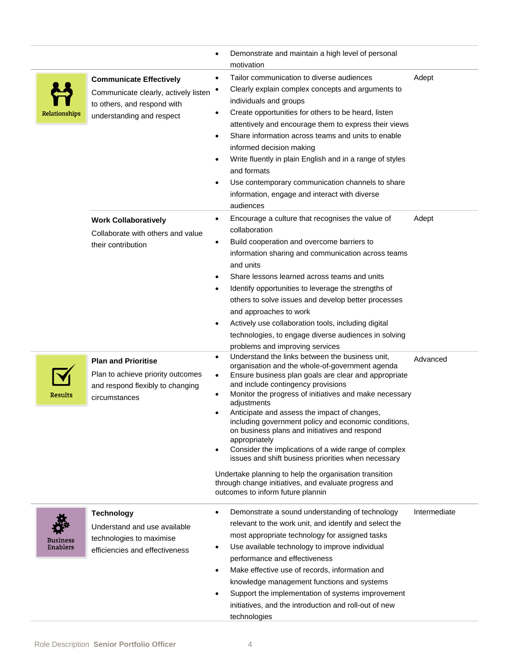|                                    |                                                                                                                                    | Demonstrate and maintain a high level of personal<br>$\bullet$<br>motivation                                                                                                                                                                                                                                                                                                                                                                                                                                                                                                                                                                                                                                                                                           |              |
|------------------------------------|------------------------------------------------------------------------------------------------------------------------------------|------------------------------------------------------------------------------------------------------------------------------------------------------------------------------------------------------------------------------------------------------------------------------------------------------------------------------------------------------------------------------------------------------------------------------------------------------------------------------------------------------------------------------------------------------------------------------------------------------------------------------------------------------------------------------------------------------------------------------------------------------------------------|--------------|
| Relationships                      | <b>Communicate Effectively</b><br>Communicate clearly, actively listen<br>to others, and respond with<br>understanding and respect | Tailor communication to diverse audiences<br>٠<br>Clearly explain complex concepts and arguments to<br>$\bullet$<br>individuals and groups<br>Create opportunities for others to be heard, listen<br>$\bullet$<br>attentively and encourage them to express their views<br>Share information across teams and units to enable<br>$\bullet$<br>informed decision making<br>Write fluently in plain English and in a range of styles<br>and formats<br>Use contemporary communication channels to share<br>$\bullet$<br>information, engage and interact with diverse<br>audiences                                                                                                                                                                                       | Adept        |
|                                    | <b>Work Collaboratively</b><br>Collaborate with others and value<br>their contribution                                             | Encourage a culture that recognises the value of<br>$\bullet$<br>collaboration<br>Build cooperation and overcome barriers to<br>$\bullet$<br>information sharing and communication across teams<br>and units<br>Share lessons learned across teams and units<br>Identify opportunities to leverage the strengths of<br>$\bullet$<br>others to solve issues and develop better processes<br>and approaches to work<br>Actively use collaboration tools, including digital<br>$\bullet$<br>technologies, to engage diverse audiences in solving<br>problems and improving services                                                                                                                                                                                       | Adept        |
| <b>Results</b>                     | <b>Plan and Prioritise</b><br>Plan to achieve priority outcomes<br>and respond flexibly to changing<br>circumstances               | Understand the links between the business unit,<br>$\bullet$<br>organisation and the whole-of-government agenda<br>Ensure business plan goals are clear and appropriate<br>$\bullet$<br>and include contingency provisions<br>Monitor the progress of initiatives and make necessary<br>٠<br>adjustments<br>Anticipate and assess the impact of changes,<br>including government policy and economic conditions,<br>on business plans and initiatives and respond<br>appropriately<br>Consider the implications of a wide range of complex<br>$\bullet$<br>issues and shift business priorities when necessary<br>Undertake planning to help the organisation transition<br>through change initiatives, and evaluate progress and<br>outcomes to inform future plannin | Advanced     |
| <b>Business</b><br><b>Enablers</b> | <b>Technology</b><br>Understand and use available<br>technologies to maximise<br>efficiencies and effectiveness                    | Demonstrate a sound understanding of technology<br>$\bullet$<br>relevant to the work unit, and identify and select the<br>most appropriate technology for assigned tasks<br>Use available technology to improve individual<br>$\bullet$<br>performance and effectiveness<br>Make effective use of records, information and<br>$\bullet$<br>knowledge management functions and systems<br>Support the implementation of systems improvement<br>$\bullet$<br>initiatives, and the introduction and roll-out of new<br>technologies                                                                                                                                                                                                                                       | Intermediate |